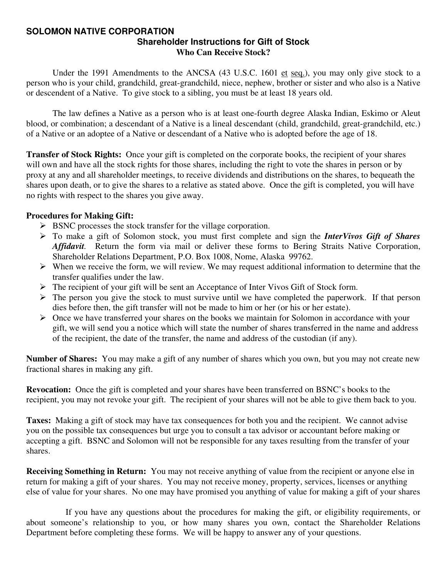#### **SOLOMON NATIVE CORPORATION Shareholder Instructions for Gift of Stock Who Can Receive Stock?**

Under the 1991 Amendments to the ANCSA (43 U.S.C. 1601 et seq.), you may only give stock to a person who is your child, grandchild, great-grandchild, niece, nephew, brother or sister and who also is a Native or descendent of a Native. To give stock to a sibling, you must be at least 18 years old.

 The law defines a Native as a person who is at least one-fourth degree Alaska Indian, Eskimo or Aleut blood, or combination; a descendant of a Native is a lineal descendant (child, grandchild, great-grandchild, etc.) of a Native or an adoptee of a Native or descendant of a Native who is adopted before the age of 18.

**Transfer of Stock Rights:** Once your gift is completed on the corporate books, the recipient of your shares will own and have all the stock rights for those shares, including the right to vote the shares in person or by proxy at any and all shareholder meetings, to receive dividends and distributions on the shares, to bequeath the shares upon death, or to give the shares to a relative as stated above. Once the gift is completed, you will have no rights with respect to the shares you give away.

#### **Procedures for Making Gift:**

- $\triangleright$  BSNC processes the stock transfer for the village corporation.
- ¾ To make a gift of Solomon stock, you must first complete and sign the *InterVivos Gift of Shares Affidavit.* Return the form via mail or deliver these forms to Bering Straits Native Corporation, Shareholder Relations Department, P.O. Box 1008, Nome, Alaska 99762.
- $\triangleright$  When we receive the form, we will review. We may request additional information to determine that the transfer qualifies under the law.
- ¾ The recipient of your gift will be sent an Acceptance of Inter Vivos Gift of Stock form.
- $\triangleright$  The person you give the stock to must survive until we have completed the paperwork. If that person dies before then, the gift transfer will not be made to him or her (or his or her estate).
- $\triangleright$  Once we have transferred your shares on the books we maintain for Solomon in accordance with your gift, we will send you a notice which will state the number of shares transferred in the name and address of the recipient, the date of the transfer, the name and address of the custodian (if any).

**Number of Shares:** You may make a gift of any number of shares which you own, but you may not create new fractional shares in making any gift.

**Revocation:** Once the gift is completed and your shares have been transferred on BSNC's books to the recipient, you may not revoke your gift. The recipient of your shares will not be able to give them back to you.

**Taxes:** Making a gift of stock may have tax consequences for both you and the recipient. We cannot advise you on the possible tax consequences but urge you to consult a tax advisor or accountant before making or accepting a gift. BSNC and Solomon will not be responsible for any taxes resulting from the transfer of your shares.

**Receiving Something in Return:** You may not receive anything of value from the recipient or anyone else in return for making a gift of your shares. You may not receive money, property, services, licenses or anything else of value for your shares. No one may have promised you anything of value for making a gift of your shares

 If you have any questions about the procedures for making the gift, or eligibility requirements, or about someone's relationship to you, or how many shares you own, contact the Shareholder Relations Department before completing these forms. We will be happy to answer any of your questions.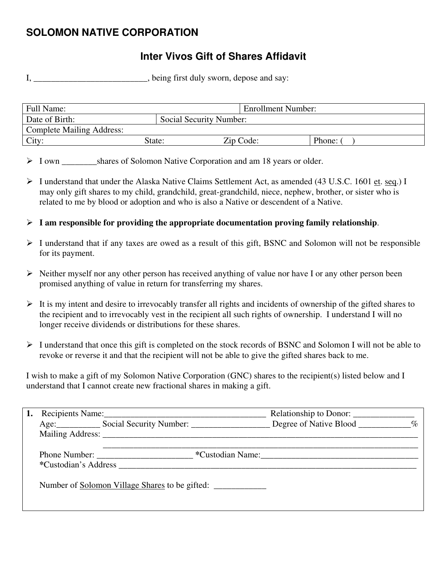# **SOLOMON NATIVE CORPORATION**

# **Inter Vivos Gift of Shares Affidavit**

I, \_\_\_\_\_\_\_\_\_\_\_\_\_\_\_\_\_\_\_\_\_\_, being first duly sworn, depose and say:

| Full Name:                       |                         | <b>Enrollment Number:</b> |        |
|----------------------------------|-------------------------|---------------------------|--------|
| Date of Birth:                   | Social Security Number: |                           |        |
| <b>Complete Mailing Address:</b> |                         |                           |        |
| City:                            | State:                  | Zip Code:                 | Phone: |

> I own shares of Solomon Native Corporation and am 18 years or older.

- $\triangleright$  I understand that under the Alaska Native Claims Settlement Act, as amended (43 U.S.C. 1601 et. seq.) I may only gift shares to my child, grandchild, great-grandchild, niece, nephew, brother, or sister who is related to me by blood or adoption and who is also a Native or descendent of a Native.
- ¾ **I am responsible for providing the appropriate documentation proving family relationship**.
- ¾ I understand that if any taxes are owed as a result of this gift, BSNC and Solomon will not be responsible for its payment.
- $\triangleright$  Neither myself nor any other person has received anything of value nor have I or any other person been promised anything of value in return for transferring my shares.
- $\triangleright$  It is my intent and desire to irrevocably transfer all rights and incidents of ownership of the gifted shares to the recipient and to irrevocably vest in the recipient all such rights of ownership. I understand I will no longer receive dividends or distributions for these shares.
- ¾ I understand that once this gift is completed on the stock records of BSNC and Solomon I will not be able to revoke or reverse it and that the recipient will not be able to give the gifted shares back to me.

I wish to make a gift of my Solomon Native Corporation (GNC) shares to the recipient(s) listed below and I understand that I cannot create new fractional shares in making a gift.

|  | Recipients Name:                                                                                                                                                                                                                                     |                  |  |
|--|------------------------------------------------------------------------------------------------------------------------------------------------------------------------------------------------------------------------------------------------------|------------------|--|
|  | Age: Social Security Number: Degree of Native Blood ________ %                                                                                                                                                                                       |                  |  |
|  |                                                                                                                                                                                                                                                      |                  |  |
|  | Phone Number:<br>*Custodian's Address <b>Example 2</b> and the set of the set of the set of the set of the set of the set of the set of the set of the set of the set of the set of the set of the set of the set of the set of the set of the set o | *Custodian Name: |  |
|  | Number of Solomon Village Shares to be gifted:                                                                                                                                                                                                       |                  |  |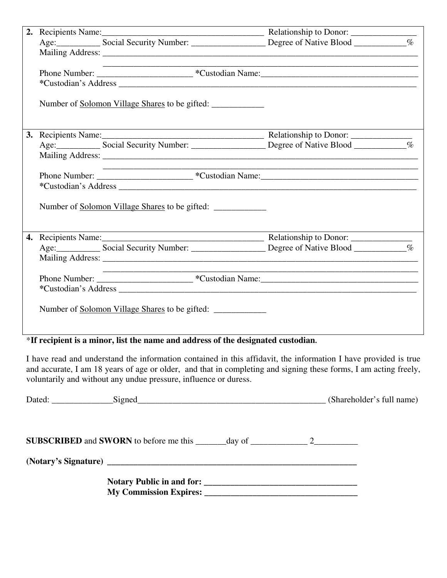|  | <u> Louis Communication de la communication de la communication de la communication de la communication de la com</u> |  |
|--|-----------------------------------------------------------------------------------------------------------------------|--|
|  |                                                                                                                       |  |
|  |                                                                                                                       |  |
|  | Number of <u>Solomon Village Shares</u> to be gifted:                                                                 |  |
|  |                                                                                                                       |  |
|  |                                                                                                                       |  |
|  |                                                                                                                       |  |
|  |                                                                                                                       |  |
|  |                                                                                                                       |  |
|  |                                                                                                                       |  |
|  | Number of <u>Solomon Village Shares</u> to be gifted:                                                                 |  |
|  |                                                                                                                       |  |
|  |                                                                                                                       |  |
|  |                                                                                                                       |  |
|  |                                                                                                                       |  |
|  |                                                                                                                       |  |
|  |                                                                                                                       |  |
|  | Number of <u>Solomon Village Shares</u> to be gifted:                                                                 |  |
|  |                                                                                                                       |  |

### \***If recipient is a minor, list the name and address of the designated custodian.**

I have read and understand the information contained in this affidavit, the information I have provided is true and accurate, I am 18 years of age or older, and that in completing and signing these forms, I am acting freely, voluntarily and without any undue pressure, influence or duress.

| Dated: Signed Signed Signed Signed Signed Signed Signed Signed Signed Signed Signed Signed Signed Signed Signed Signed Signed Signed Signed Signed Signed Signed Signed Signed Signed Signed Signed Signed Signed Signed Signe |  |  |
|--------------------------------------------------------------------------------------------------------------------------------------------------------------------------------------------------------------------------------|--|--|
| <b>SUBSCRIBED</b> and <b>SWORN</b> to before me this $\_\_\_\_\_day$ of $\_\_\_\_\_\_2$                                                                                                                                        |  |  |
|                                                                                                                                                                                                                                |  |  |
| My Commission Expires: 2008. The Commission Expires:                                                                                                                                                                           |  |  |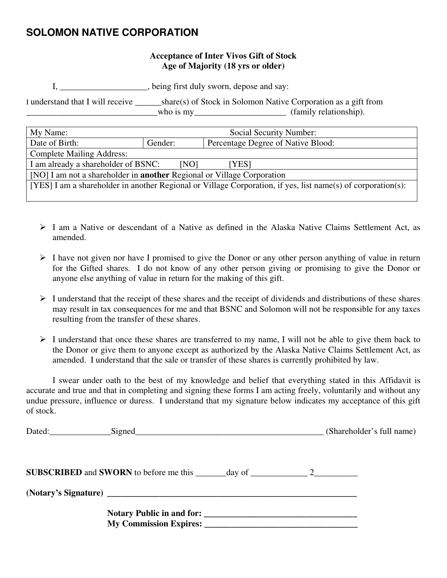### **SOLOMON NATIVE CORPORATION**

#### **Acceptance of Inter Vivos Gift of Stock Age of Majority (18 yrs or older)**

I, \_\_\_\_\_\_\_\_\_\_\_\_\_\_\_\_\_\_\_\_, being first duly sworn, depose and say:

I understand that I will receive \_\_\_\_\_\_share(s) of Stock in Solomon Native Corporation as a gift from who is my\_\_\_\_\_\_\_\_\_\_\_\_\_\_\_\_\_\_\_\_\_\_\_\_\_ (family relationship).

| My Name:                                                                                                     | Social Security Number:                       |  |  |
|--------------------------------------------------------------------------------------------------------------|-----------------------------------------------|--|--|
| Date of Birth:                                                                                               | Percentage Degree of Native Blood:<br>Gender: |  |  |
| <b>Complete Mailing Address:</b>                                                                             |                                               |  |  |
| I am already a shareholder of BSNC:<br>[NO]<br>[YES]                                                         |                                               |  |  |
| [NO] I am not a shareholder in <b>another</b> Regional or Village Corporation                                |                                               |  |  |
| [YES] I am a shareholder in another Regional or Village Corporation, if yes, list name(s) of corporation(s): |                                               |  |  |
|                                                                                                              |                                               |  |  |

- $\triangleright$  I am a Native or descendant of a Native as defined in the Alaska Native Claims Settlement Act, as amended.
- $\triangleright$  I have not given nor have I promised to give the Donor or any other person anything of value in return for the Gifted shares. I do not know of any other person giving or promising to give the Donor or anyone else anything of value in return for the making of this gift.
- $\triangleright$  I understand that the receipt of these shares and the receipt of dividends and distributions of these shares may result in tax consequences for me and that BSNC and Solomon will not be responsible for any taxes resulting from the transfer of these shares.
- $\triangleright$  I understand that once these shares are transferred to my name, I will not be able to give them back to the Donor or give them to anyone except as authorized by the Alaska Native Claims Settlement Act, as amended. I understand that the sale or transfer of these shares is currently prohibited by law.

 I swear under oath to the best of my knowledge and belief that everything stated in this Affidavit is accurate and true and that in completing and signing these forms I am acting freely, voluntarily and without any undue pressure, influence or duress. I understand that my signature below indicates my acceptance of this gift of stock.

|  | (Shareholder's full name) |
|--|---------------------------|
|  |                           |
|  |                           |
|  |                           |